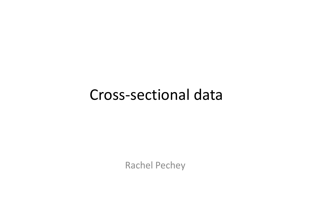#### Cross-sectional data

Rachel Pechey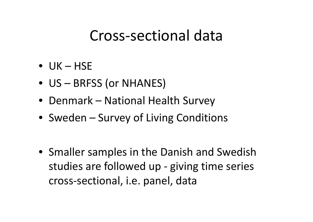#### Cross-sectional data

- $\bullet$  UK HSE
- US BRFSS (or NHANES)
- Denmark National Health Survey
- Sweden Survey of Living Conditions
- Smaller samples in the Danish and Swedish studies are followed up - giving time series cross-sectional, i.e. panel, data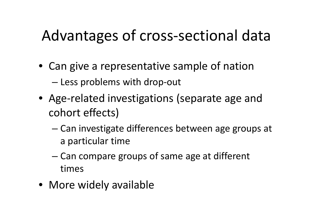### Advantages of cross-sectional data

- Can give a representative sample of nation – Less problems with drop-out
- Age-related investigations (separate age and cohort effects)
	- Can investigate differences between age groups at a particular time
	- Can compare groups of same age at different times
- More widely available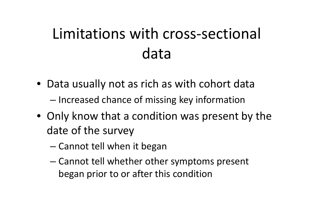# Limitations with cross-sectional data

- Data usually not as rich as with cohort data
	- Increased chance of missing key information
- Only know that a condition was present by the date of the survey
	- Cannot tell when it began
	- Cannot tell whether other symptoms present began prior to or after this condition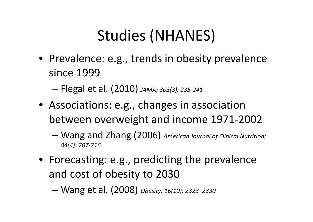# Studies (NHANES)

• Prevalence: e.g., trends in obesity prevalence since 1999

– Flegal et al. (2010) *JAMA; 303(3): 235-241*

- Associations: e.g., changes in association between overweight and income 1971-2002
	- Wang and Zhang (2006) *American Journal of Clinical Nutrition; 84(4): 707-716*
- Forecasting: e.g., predicting the prevalence and cost of obesity to 2030
	- Wang et al. (2008) *Obesity; 16(10): 2323–2330*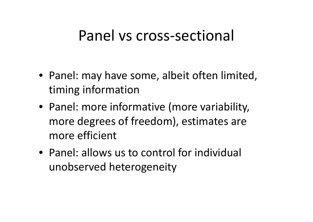#### Panel vs cross-sectional

- Panel: may have some, albeit often limited, timing information
- Panel: more informative (more variability, more degrees of freedom), estimates are more efficient
- Panel: allows us to control for individual unobserved heterogeneity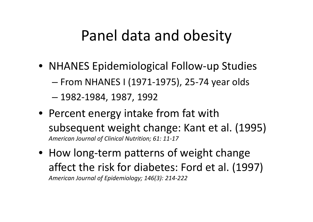#### Panel data and obesity

- NHANES Epidemiological Follow-up Studies
	- From NHANES I (1971-1975), 25-74 year olds
	- 1982-1984, 1987, 1992
- Percent energy intake from fat with subsequent weight change: Kant et al. (1995) *American Journal of Clinical Nutrition; 61: 11-17*
- How long-term patterns of weight change affect the risk for diabetes: Ford et al. (1997) *American Journal of Epidemiology; 146(3): 214-222*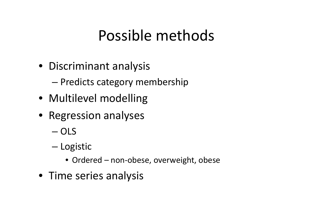#### Possible methods

• Discriminant analysis

– Predicts category membership

- Multilevel modelling
- Regression analyses
	- OLS
	- Logistic
		- Ordered non-obese, overweight, obese
- Time series analysis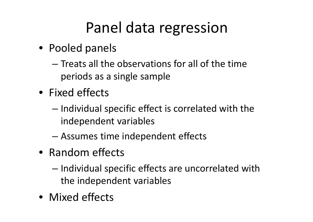#### Panel data regression

- Pooled panels
	- Treats all the observations for all of the time periods as a single sample
- Fixed effects
	- Individual specific effect is correlated with the independent variables
	- Assumes time independent effects
- Random effects
	- Individual specific effects are uncorrelated with the independent variables
- Mixed effects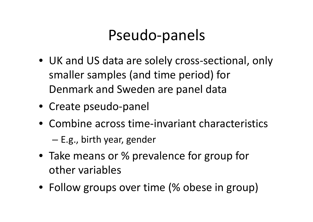#### Pseudo-panels

- UK and US data are solely cross-sectional, only smaller samples (and time period) for Denmark and Sweden are panel data
- Create pseudo-panel
- Combine across time-invariant characteristics

– E.g., birth year, gender

- Take means or % prevalence for group for other variables
- Follow groups over time (% obese in group)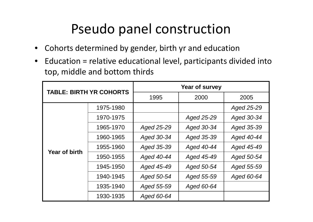#### Pseudo panel construction

- Cohorts determined by gender, birth yr and education
- Education = relative educational level, participants divided into top, middle and bottom thirds

| <b>TABLE: BIRTH YR COHORTS</b> |           | Year of survey |            |            |  |
|--------------------------------|-----------|----------------|------------|------------|--|
|                                |           | 1995           | 2000       | 2005       |  |
| <b>Year of birth</b>           | 1975-1980 |                |            | Aged 25-29 |  |
|                                | 1970-1975 |                | Aged 25-29 | Aged 30-34 |  |
|                                | 1965-1970 | Aged 25-29     | Aged 30-34 | Aged 35-39 |  |
|                                | 1960-1965 | Aged 30-34     | Aged 35-39 | Aged 40-44 |  |
|                                | 1955-1960 | Aged 35-39     | Aged 40-44 | Aged 45-49 |  |
|                                | 1950-1955 | Aged 40-44     | Aged 45-49 | Aged 50-54 |  |
|                                | 1945-1950 | Aged 45-49     | Aged 50-54 | Aged 55-59 |  |
|                                | 1940-1945 | Aged 50-54     | Aged 55-59 | Aged 60-64 |  |
|                                | 1935-1940 | Aged 55-59     | Aged 60-64 |            |  |
|                                | 1930-1935 | Aged 60-64     |            |            |  |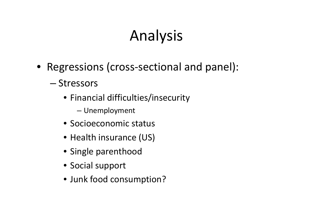# Analysis

- Regressions (cross-sectional and panel):
	- Stressors
		- Financial difficulties/insecurity
			- Unemployment
		- Socioeconomic status
		- Health insurance (US)
		- Single parenthood
		- Social support
		- Junk food consumption?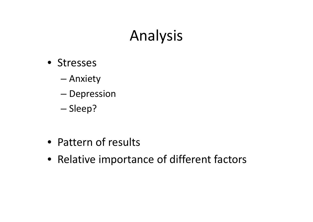#### Analysis

- Stresses
	- Anxiety
	- Depression
	- Sleep?
- Pattern of results
- Relative importance of different factors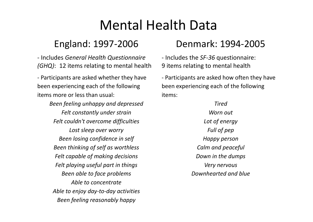#### Mental Health Data

- Includes *General Health Questionnaire (GHQ)*: 12 items relating to mental health

- Participants are asked whether they have been experiencing each of the following items more or less than usual:

> *Been feeling unhappy and depressed Felt constantly under strain Felt couldn't overcome difficulties Lost sleep over worry Been losing confidence in self Been thinking of self as worthless Felt capable of making decisions Felt playing useful part in things Been able to face problems Able to concentrate Able to enjoy day-to-day activities Been feeling reasonably happy*

#### England: 1997-2006 Denmark: 1994-2005

- Includes the *SF-36* questionnaire: 9 items relating to mental health

- Participants are asked how often they have been experiencing each of the following items:

#### *Tired*

*Worn out Lot of energy Full of pep Happy person Calm and peaceful Down in the dumps Very nervous Downhearted and blue*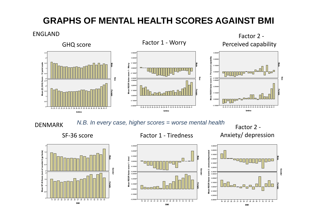#### **GRAPHS OF MENTAL HEALTH SCORES AGAINST BMI**

ENGLAND







Anxiety/ depression



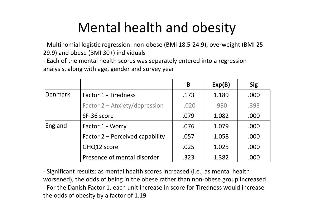#### Mental health and obesity

- Multinomial logistic regression: non-obese (BMI 18.5-24.9), overweight (BMI 25- 29.9) and obese (BMI 30+) individuals

- Each of the mental health scores was separately entered into a regression analysis, along with age, gender and survey year

|         |                                 | B       | Exp(B) | <b>Sig</b> |
|---------|---------------------------------|---------|--------|------------|
| Denmark | <b>Factor 1 - Tiredness</b>     | .173    | 1.189  | .000       |
|         | Factor 2 - Anxiety/depression   | $-.020$ | .980   | .393       |
|         | SF-36 score                     | .079    | 1.082  | .000       |
| England | Factor 1 - Worry                | .076    | 1.079  | .000       |
|         | Factor 2 – Perceived capability | .057    | 1.058  | .000       |
|         | GHQ12 score                     | .025    | 1.025  | .000       |
|         | Presence of mental disorder     | .323    | 1.382  | .000       |

- Significant results: as mental health scores increased (i.e., as mental health worsened), the odds of being in the obese rather than non-obese group increased - For the Danish Factor 1, each unit increase in score for Tiredness would increase the odds of obesity by a factor of 1.19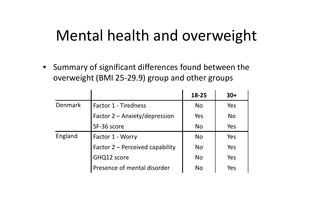#### Mental health and overweight

• Summary of significant differences found between the overweight (BMI 25-29.9) group and other groups

|                |                                 | 18-25          | $30+$     |
|----------------|---------------------------------|----------------|-----------|
| <b>Denmark</b> | <b>Factor 1 - Tiredness</b>     | <b>No</b>      | Yes       |
|                | Factor 2 – Anxiety/depression   | Yes            | <b>No</b> |
|                | SF-36 score                     | <b>No</b>      | Yes       |
| England        | Factor 1 - Worry                | <b>No</b>      | Yes       |
|                | Factor 2 – Perceived capability | N <sub>o</sub> | Yes       |
|                | GHQ12 score                     | <b>No</b>      | Yes       |
|                | Presence of mental disorder     | No             | Yes       |